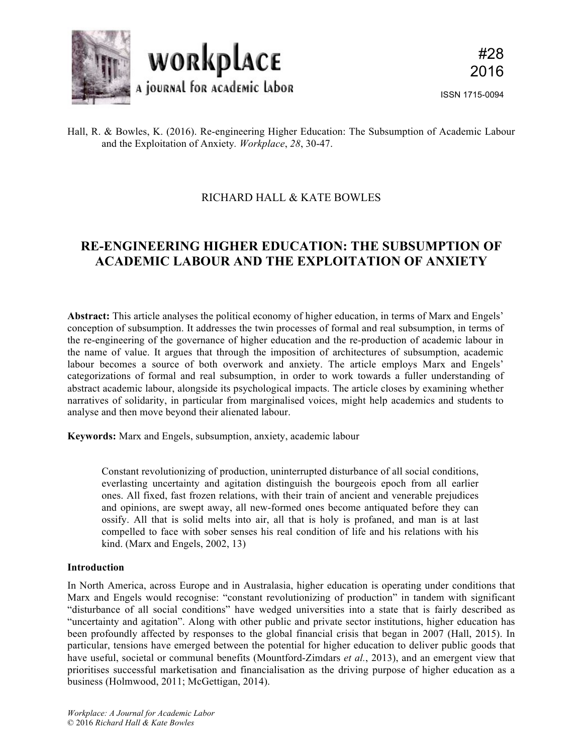

### Hall, R. & Bowles, K. (2016). Re-engineering Higher Education: The Subsumption of Academic Labour and the Exploitation of Anxiety*. Workplace*, *28*, 30-47.

## RICHARD HALL & KATE BOWLES

# **RE-ENGINEERING HIGHER EDUCATION: THE SUBSUMPTION OF ACADEMIC LABOUR AND THE EXPLOITATION OF ANXIETY**

**Abstract:** This article analyses the political economy of higher education, in terms of Marx and Engels' conception of subsumption. It addresses the twin processes of formal and real subsumption, in terms of the re-engineering of the governance of higher education and the re-production of academic labour in the name of value. It argues that through the imposition of architectures of subsumption, academic labour becomes a source of both overwork and anxiety. The article employs Marx and Engels' categorizations of formal and real subsumption, in order to work towards a fuller understanding of abstract academic labour, alongside its psychological impacts. The article closes by examining whether narratives of solidarity, in particular from marginalised voices, might help academics and students to analyse and then move beyond their alienated labour.

**Keywords:** Marx and Engels, subsumption, anxiety, academic labour

Constant revolutionizing of production, uninterrupted disturbance of all social conditions, everlasting uncertainty and agitation distinguish the bourgeois epoch from all earlier ones. All fixed, fast frozen relations, with their train of ancient and venerable prejudices and opinions, are swept away, all new-formed ones become antiquated before they can ossify. All that is solid melts into air, all that is holy is profaned, and man is at last compelled to face with sober senses his real condition of life and his relations with his kind. (Marx and Engels, 2002, 13)

#### **Introduction**

In North America, across Europe and in Australasia, higher education is operating under conditions that Marx and Engels would recognise: "constant revolutionizing of production" in tandem with significant "disturbance of all social conditions" have wedged universities into a state that is fairly described as "uncertainty and agitation". Along with other public and private sector institutions, higher education has been profoundly affected by responses to the global financial crisis that began in 2007 (Hall, 2015). In particular, tensions have emerged between the potential for higher education to deliver public goods that have useful, societal or communal benefits (Mountford-Zimdars *et al.*, 2013), and an emergent view that prioritises successful marketisation and financialisation as the driving purpose of higher education as a business (Holmwood, 2011; McGettigan, 2014).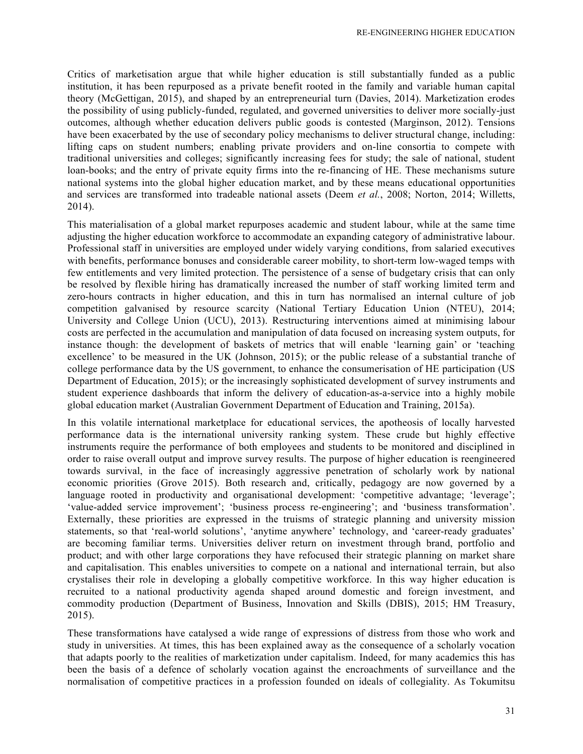Critics of marketisation argue that while higher education is still substantially funded as a public institution, it has been repurposed as a private benefit rooted in the family and variable human capital theory (McGettigan, 2015), and shaped by an entrepreneurial turn (Davies, 2014). Marketization erodes the possibility of using publicly-funded, regulated, and governed universities to deliver more socially-just outcomes, although whether education delivers public goods is contested (Marginson, 2012). Tensions have been exacerbated by the use of secondary policy mechanisms to deliver structural change, including: lifting caps on student numbers; enabling private providers and on-line consortia to compete with traditional universities and colleges; significantly increasing fees for study; the sale of national, student loan-books; and the entry of private equity firms into the re-financing of HE. These mechanisms suture national systems into the global higher education market, and by these means educational opportunities and services are transformed into tradeable national assets (Deem *et al.*, 2008; Norton, 2014; Willetts, 2014).

This materialisation of a global market repurposes academic and student labour, while at the same time adjusting the higher education workforce to accommodate an expanding category of administrative labour. Professional staff in universities are employed under widely varying conditions, from salaried executives with benefits, performance bonuses and considerable career mobility, to short-term low-waged temps with few entitlements and very limited protection. The persistence of a sense of budgetary crisis that can only be resolved by flexible hiring has dramatically increased the number of staff working limited term and zero-hours contracts in higher education, and this in turn has normalised an internal culture of job competition galvanised by resource scarcity (National Tertiary Education Union (NTEU), 2014; University and College Union (UCU), 2013). Restructuring interventions aimed at minimising labour costs are perfected in the accumulation and manipulation of data focused on increasing system outputs, for instance though: the development of baskets of metrics that will enable 'learning gain' or 'teaching excellence' to be measured in the UK (Johnson, 2015); or the public release of a substantial tranche of college performance data by the US government, to enhance the consumerisation of HE participation (US Department of Education, 2015); or the increasingly sophisticated development of survey instruments and student experience dashboards that inform the delivery of education-as-a-service into a highly mobile global education market (Australian Government Department of Education and Training, 2015a).

In this volatile international marketplace for educational services, the apotheosis of locally harvested performance data is the international university ranking system. These crude but highly effective instruments require the performance of both employees and students to be monitored and disciplined in order to raise overall output and improve survey results. The purpose of higher education is reengineered towards survival, in the face of increasingly aggressive penetration of scholarly work by national economic priorities (Grove 2015). Both research and, critically, pedagogy are now governed by a language rooted in productivity and organisational development: 'competitive advantage: 'leverage'; 'value-added service improvement'; 'business process re-engineering'; and 'business transformation'. Externally, these priorities are expressed in the truisms of strategic planning and university mission statements, so that 'real-world solutions', 'anytime anywhere' technology, and 'career-ready graduates' are becoming familiar terms. Universities deliver return on investment through brand, portfolio and product; and with other large corporations they have refocused their strategic planning on market share and capitalisation. This enables universities to compete on a national and international terrain, but also crystalises their role in developing a globally competitive workforce. In this way higher education is recruited to a national productivity agenda shaped around domestic and foreign investment, and commodity production (Department of Business, Innovation and Skills (DBIS), 2015; HM Treasury, 2015).

These transformations have catalysed a wide range of expressions of distress from those who work and study in universities. At times, this has been explained away as the consequence of a scholarly vocation that adapts poorly to the realities of marketization under capitalism. Indeed, for many academics this has been the basis of a defence of scholarly vocation against the encroachments of surveillance and the normalisation of competitive practices in a profession founded on ideals of collegiality. As Tokumitsu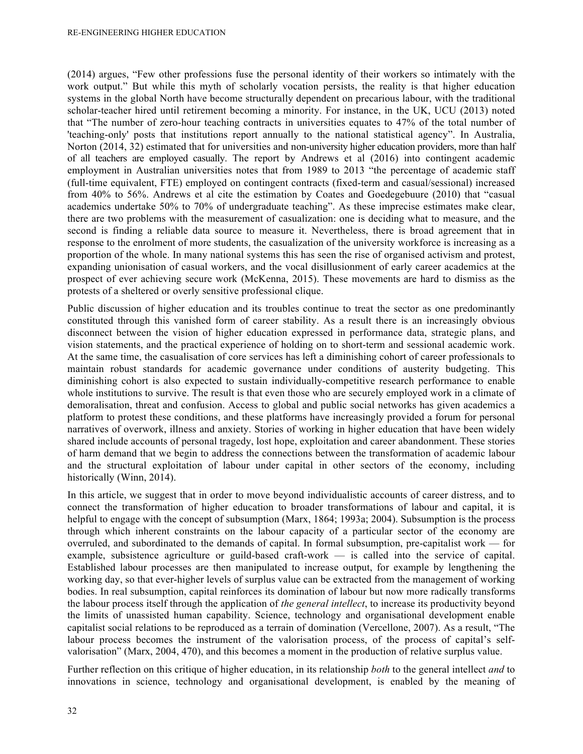(2014) argues, "Few other professions fuse the personal identity of their workers so intimately with the work output." But while this myth of scholarly vocation persists, the reality is that higher education systems in the global North have become structurally dependent on precarious labour, with the traditional scholar-teacher hired until retirement becoming a minority. For instance, in the UK, UCU (2013) noted that "The number of zero-hour teaching contracts in universities equates to 47% of the total number of 'teaching-only' posts that institutions report annually to the national statistical agency". In Australia, Norton (2014, 32) estimated that for universities and non-university higher education providers, more than half of all teachers are employed casually. The report by Andrews et al (2016) into contingent academic employment in Australian universities notes that from 1989 to 2013 "the percentage of academic staff (full-time equivalent, FTE) employed on contingent contracts (fixed-term and casual/sessional) increased from 40% to 56%. Andrews et al cite the estimation by Coates and Goedegebuure (2010) that "casual academics undertake 50% to 70% of undergraduate teaching". As these imprecise estimates make clear, there are two problems with the measurement of casualization: one is deciding what to measure, and the second is finding a reliable data source to measure it. Nevertheless, there is broad agreement that in response to the enrolment of more students, the casualization of the university workforce is increasing as a proportion of the whole. In many national systems this has seen the rise of organised activism and protest, expanding unionisation of casual workers, and the vocal disillusionment of early career academics at the prospect of ever achieving secure work (McKenna, 2015). These movements are hard to dismiss as the protests of a sheltered or overly sensitive professional clique.

Public discussion of higher education and its troubles continue to treat the sector as one predominantly constituted through this vanished form of career stability. As a result there is an increasingly obvious disconnect between the vision of higher education expressed in performance data, strategic plans, and vision statements, and the practical experience of holding on to short-term and sessional academic work. At the same time, the casualisation of core services has left a diminishing cohort of career professionals to maintain robust standards for academic governance under conditions of austerity budgeting. This diminishing cohort is also expected to sustain individually-competitive research performance to enable whole institutions to survive. The result is that even those who are securely employed work in a climate of demoralisation, threat and confusion. Access to global and public social networks has given academics a platform to protest these conditions, and these platforms have increasingly provided a forum for personal narratives of overwork, illness and anxiety. Stories of working in higher education that have been widely shared include accounts of personal tragedy, lost hope, exploitation and career abandonment. These stories of harm demand that we begin to address the connections between the transformation of academic labour and the structural exploitation of labour under capital in other sectors of the economy, including historically (Winn, 2014).

In this article, we suggest that in order to move beyond individualistic accounts of career distress, and to connect the transformation of higher education to broader transformations of labour and capital, it is helpful to engage with the concept of subsumption (Marx, 1864; 1993a; 2004). Subsumption is the process through which inherent constraints on the labour capacity of a particular sector of the economy are overruled, and subordinated to the demands of capital. In formal subsumption, pre-capitalist work — for example, subsistence agriculture or guild-based craft-work — is called into the service of capital. Established labour processes are then manipulated to increase output, for example by lengthening the working day, so that ever-higher levels of surplus value can be extracted from the management of working bodies. In real subsumption, capital reinforces its domination of labour but now more radically transforms the labour process itself through the application of *the general intellect*, to increase its productivity beyond the limits of unassisted human capability. Science, technology and organisational development enable capitalist social relations to be reproduced as a terrain of domination (Vercellone, 2007). As a result, "The labour process becomes the instrument of the valorisation process, of the process of capital's selfvalorisation" (Marx, 2004, 470), and this becomes a moment in the production of relative surplus value.

Further reflection on this critique of higher education, in its relationship *both* to the general intellect *and* to innovations in science, technology and organisational development, is enabled by the meaning of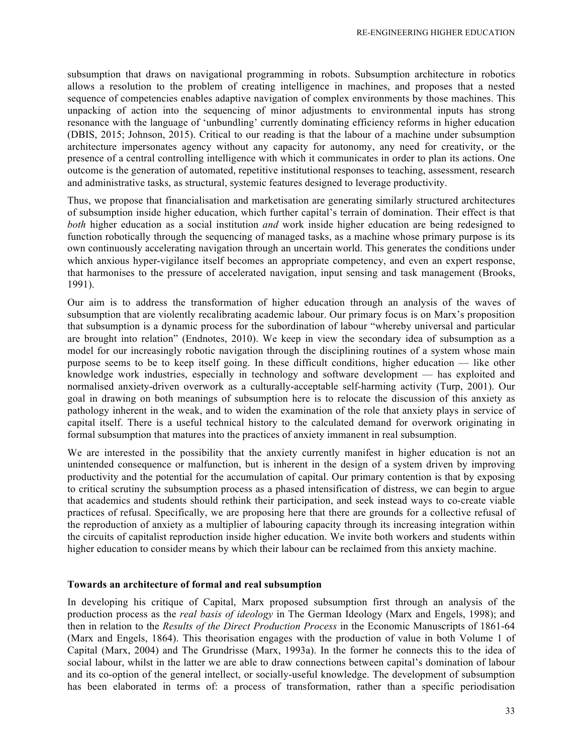subsumption that draws on navigational programming in robots. Subsumption architecture in robotics allows a resolution to the problem of creating intelligence in machines, and proposes that a nested sequence of competencies enables adaptive navigation of complex environments by those machines. This unpacking of action into the sequencing of minor adjustments to environmental inputs has strong resonance with the language of 'unbundling' currently dominating efficiency reforms in higher education (DBIS, 2015; Johnson, 2015). Critical to our reading is that the labour of a machine under subsumption architecture impersonates agency without any capacity for autonomy, any need for creativity, or the presence of a central controlling intelligence with which it communicates in order to plan its actions. One outcome is the generation of automated, repetitive institutional responses to teaching, assessment, research and administrative tasks, as structural, systemic features designed to leverage productivity.

Thus, we propose that financialisation and marketisation are generating similarly structured architectures of subsumption inside higher education, which further capital's terrain of domination. Their effect is that *both* higher education as a social institution *and* work inside higher education are being redesigned to function robotically through the sequencing of managed tasks, as a machine whose primary purpose is its own continuously accelerating navigation through an uncertain world. This generates the conditions under which anxious hyper-vigilance itself becomes an appropriate competency, and even an expert response, that harmonises to the pressure of accelerated navigation, input sensing and task management (Brooks, 1991).

Our aim is to address the transformation of higher education through an analysis of the waves of subsumption that are violently recalibrating academic labour. Our primary focus is on Marx's proposition that subsumption is a dynamic process for the subordination of labour "whereby universal and particular are brought into relation" (Endnotes, 2010). We keep in view the secondary idea of subsumption as a model for our increasingly robotic navigation through the disciplining routines of a system whose main purpose seems to be to keep itself going. In these difficult conditions, higher education — like other knowledge work industries, especially in technology and software development — has exploited and normalised anxiety-driven overwork as a culturally-acceptable self-harming activity (Turp, 2001). Our goal in drawing on both meanings of subsumption here is to relocate the discussion of this anxiety as pathology inherent in the weak, and to widen the examination of the role that anxiety plays in service of capital itself. There is a useful technical history to the calculated demand for overwork originating in formal subsumption that matures into the practices of anxiety immanent in real subsumption.

We are interested in the possibility that the anxiety currently manifest in higher education is not an unintended consequence or malfunction, but is inherent in the design of a system driven by improving productivity and the potential for the accumulation of capital. Our primary contention is that by exposing to critical scrutiny the subsumption process as a phased intensification of distress, we can begin to argue that academics and students should rethink their participation, and seek instead ways to co-create viable practices of refusal. Specifically, we are proposing here that there are grounds for a collective refusal of the reproduction of anxiety as a multiplier of labouring capacity through its increasing integration within the circuits of capitalist reproduction inside higher education. We invite both workers and students within higher education to consider means by which their labour can be reclaimed from this anxiety machine.

#### **Towards an architecture of formal and real subsumption**

In developing his critique of Capital, Marx proposed subsumption first through an analysis of the production process as the *real basis of ideology* in The German Ideology (Marx and Engels, 1998); and then in relation to the *Results of the Direct Production Process* in the Economic Manuscripts of 1861-64 (Marx and Engels, 1864). This theorisation engages with the production of value in both Volume 1 of Capital (Marx, 2004) and The Grundrisse (Marx, 1993a). In the former he connects this to the idea of social labour, whilst in the latter we are able to draw connections between capital's domination of labour and its co-option of the general intellect, or socially-useful knowledge. The development of subsumption has been elaborated in terms of: a process of transformation, rather than a specific periodisation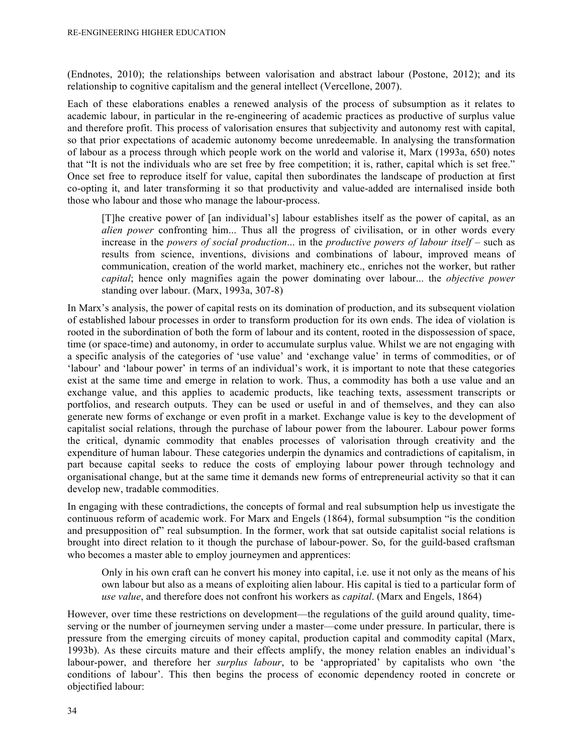(Endnotes, 2010); the relationships between valorisation and abstract labour (Postone, 2012); and its relationship to cognitive capitalism and the general intellect (Vercellone, 2007).

Each of these elaborations enables a renewed analysis of the process of subsumption as it relates to academic labour, in particular in the re-engineering of academic practices as productive of surplus value and therefore profit. This process of valorisation ensures that subjectivity and autonomy rest with capital, so that prior expectations of academic autonomy become unredeemable. In analysing the transformation of labour as a process through which people work on the world and valorise it, Marx (1993a, 650) notes that "It is not the individuals who are set free by free competition; it is, rather, capital which is set free." Once set free to reproduce itself for value, capital then subordinates the landscape of production at first co-opting it, and later transforming it so that productivity and value-added are internalised inside both those who labour and those who manage the labour-process.

[T]he creative power of [an individual's] labour establishes itself as the power of capital, as an *alien power* confronting him... Thus all the progress of civilisation, or in other words every increase in the *powers of social production*... in the *productive powers of labour itself* – such as results from science, inventions, divisions and combinations of labour, improved means of communication, creation of the world market, machinery etc., enriches not the worker, but rather *capital*; hence only magnifies again the power dominating over labour... the *objective power* standing over labour. (Marx, 1993a, 307-8)

In Marx's analysis, the power of capital rests on its domination of production, and its subsequent violation of established labour processes in order to transform production for its own ends. The idea of violation is rooted in the subordination of both the form of labour and its content, rooted in the dispossession of space, time (or space-time) and autonomy, in order to accumulate surplus value. Whilst we are not engaging with a specific analysis of the categories of 'use value' and 'exchange value' in terms of commodities, or of 'labour' and 'labour power' in terms of an individual's work, it is important to note that these categories exist at the same time and emerge in relation to work. Thus, a commodity has both a use value and an exchange value, and this applies to academic products, like teaching texts, assessment transcripts or portfolios, and research outputs. They can be used or useful in and of themselves, and they can also generate new forms of exchange or even profit in a market. Exchange value is key to the development of capitalist social relations, through the purchase of labour power from the labourer. Labour power forms the critical, dynamic commodity that enables processes of valorisation through creativity and the expenditure of human labour. These categories underpin the dynamics and contradictions of capitalism, in part because capital seeks to reduce the costs of employing labour power through technology and organisational change, but at the same time it demands new forms of entrepreneurial activity so that it can develop new, tradable commodities.

In engaging with these contradictions, the concepts of formal and real subsumption help us investigate the continuous reform of academic work. For Marx and Engels (1864), formal subsumption "is the condition and presupposition of" real subsumption. In the former, work that sat outside capitalist social relations is brought into direct relation to it though the purchase of labour-power. So, for the guild-based craftsman who becomes a master able to employ journeymen and apprentices:

Only in his own craft can he convert his money into capital, i.e. use it not only as the means of his own labour but also as a means of exploiting alien labour. His capital is tied to a particular form of *use value*, and therefore does not confront his workers as *capital*. (Marx and Engels, 1864)

However, over time these restrictions on development—the regulations of the guild around quality, timeserving or the number of journeymen serving under a master—come under pressure. In particular, there is pressure from the emerging circuits of money capital, production capital and commodity capital (Marx, 1993b). As these circuits mature and their effects amplify, the money relation enables an individual's labour-power, and therefore her *surplus labour*, to be 'appropriated' by capitalists who own 'the conditions of labour'. This then begins the process of economic dependency rooted in concrete or objectified labour: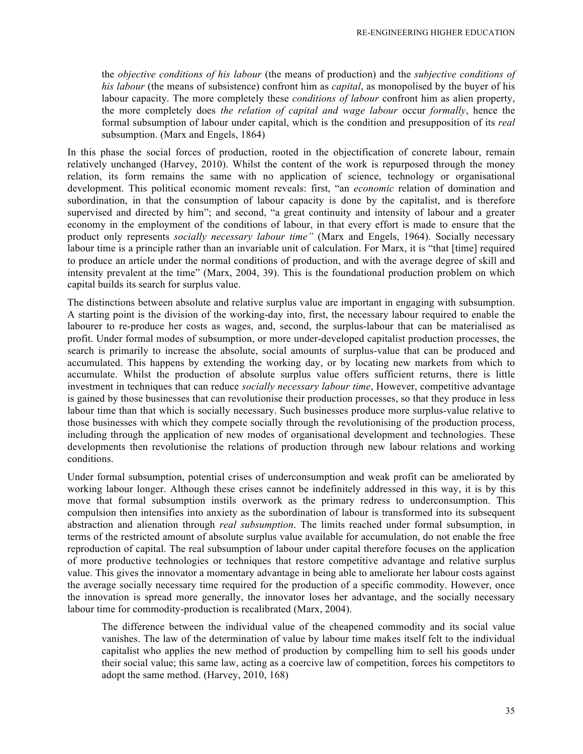the *objective conditions of his labour* (the means of production) and the *subjective conditions of his labour* (the means of subsistence) confront him as *capital*, as monopolised by the buyer of his labour capacity. The more completely these *conditions of labour* confront him as alien property, the more completely does *the relation of capital and wage labour* occur *formally*, hence the formal subsumption of labour under capital, which is the condition and presupposition of its *real* subsumption. (Marx and Engels, 1864)

In this phase the social forces of production, rooted in the objectification of concrete labour, remain relatively unchanged (Harvey, 2010). Whilst the content of the work is repurposed through the money relation, its form remains the same with no application of science, technology or organisational development. This political economic moment reveals: first, "an *economic* relation of domination and subordination, in that the consumption of labour capacity is done by the capitalist, and is therefore supervised and directed by him"; and second, "a great continuity and intensity of labour and a greater economy in the employment of the conditions of labour, in that every effort is made to ensure that the product only represents *socially necessary labour time"* (Marx and Engels, 1964). Socially necessary labour time is a principle rather than an invariable unit of calculation. For Marx, it is "that [time] required to produce an article under the normal conditions of production, and with the average degree of skill and intensity prevalent at the time" (Marx, 2004, 39). This is the foundational production problem on which capital builds its search for surplus value.

The distinctions between absolute and relative surplus value are important in engaging with subsumption. A starting point is the division of the working-day into, first, the necessary labour required to enable the labourer to re-produce her costs as wages, and, second, the surplus-labour that can be materialised as profit. Under formal modes of subsumption, or more under-developed capitalist production processes, the search is primarily to increase the absolute, social amounts of surplus-value that can be produced and accumulated. This happens by extending the working day, or by locating new markets from which to accumulate. Whilst the production of absolute surplus value offers sufficient returns, there is little investment in techniques that can reduce *socially necessary labour time*, However, competitive advantage is gained by those businesses that can revolutionise their production processes, so that they produce in less labour time than that which is socially necessary. Such businesses produce more surplus-value relative to those businesses with which they compete socially through the revolutionising of the production process, including through the application of new modes of organisational development and technologies. These developments then revolutionise the relations of production through new labour relations and working conditions.

Under formal subsumption, potential crises of underconsumption and weak profit can be ameliorated by working labour longer. Although these crises cannot be indefinitely addressed in this way, it is by this move that formal subsumption instils overwork as the primary redress to underconsumption. This compulsion then intensifies into anxiety as the subordination of labour is transformed into its subsequent abstraction and alienation through *real subsumption*. The limits reached under formal subsumption, in terms of the restricted amount of absolute surplus value available for accumulation, do not enable the free reproduction of capital. The real subsumption of labour under capital therefore focuses on the application of more productive technologies or techniques that restore competitive advantage and relative surplus value. This gives the innovator a momentary advantage in being able to ameliorate her labour costs against the average socially necessary time required for the production of a specific commodity. However, once the innovation is spread more generally, the innovator loses her advantage, and the socially necessary labour time for commodity-production is recalibrated (Marx, 2004).

The difference between the individual value of the cheapened commodity and its social value vanishes. The law of the determination of value by labour time makes itself felt to the individual capitalist who applies the new method of production by compelling him to sell his goods under their social value; this same law, acting as a coercive law of competition, forces his competitors to adopt the same method. (Harvey, 2010, 168)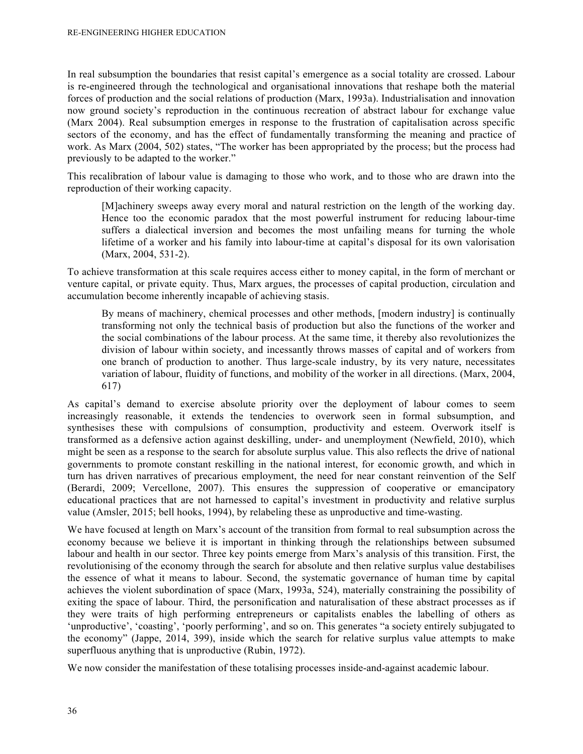In real subsumption the boundaries that resist capital's emergence as a social totality are crossed. Labour is re-engineered through the technological and organisational innovations that reshape both the material forces of production and the social relations of production (Marx, 1993a). Industrialisation and innovation now ground society's reproduction in the continuous recreation of abstract labour for exchange value (Marx 2004). Real subsumption emerges in response to the frustration of capitalisation across specific sectors of the economy, and has the effect of fundamentally transforming the meaning and practice of work. As Marx (2004, 502) states, "The worker has been appropriated by the process; but the process had previously to be adapted to the worker."

This recalibration of labour value is damaging to those who work, and to those who are drawn into the reproduction of their working capacity.

[M]achinery sweeps away every moral and natural restriction on the length of the working day. Hence too the economic paradox that the most powerful instrument for reducing labour-time suffers a dialectical inversion and becomes the most unfailing means for turning the whole lifetime of a worker and his family into labour-time at capital's disposal for its own valorisation (Marx, 2004, 531-2).

To achieve transformation at this scale requires access either to money capital, in the form of merchant or venture capital, or private equity. Thus, Marx argues, the processes of capital production, circulation and accumulation become inherently incapable of achieving stasis.

By means of machinery, chemical processes and other methods, [modern industry] is continually transforming not only the technical basis of production but also the functions of the worker and the social combinations of the labour process. At the same time, it thereby also revolutionizes the division of labour within society, and incessantly throws masses of capital and of workers from one branch of production to another. Thus large-scale industry, by its very nature, necessitates variation of labour, fluidity of functions, and mobility of the worker in all directions. (Marx, 2004, 617)

As capital's demand to exercise absolute priority over the deployment of labour comes to seem increasingly reasonable, it extends the tendencies to overwork seen in formal subsumption, and synthesises these with compulsions of consumption, productivity and esteem. Overwork itself is transformed as a defensive action against deskilling, under- and unemployment (Newfield, 2010), which might be seen as a response to the search for absolute surplus value. This also reflects the drive of national governments to promote constant reskilling in the national interest, for economic growth, and which in turn has driven narratives of precarious employment, the need for near constant reinvention of the Self (Berardi, 2009; Vercellone, 2007). This ensures the suppression of cooperative or emancipatory educational practices that are not harnessed to capital's investment in productivity and relative surplus value (Amsler, 2015; bell hooks, 1994), by relabeling these as unproductive and time-wasting.

We have focused at length on Marx's account of the transition from formal to real subsumption across the economy because we believe it is important in thinking through the relationships between subsumed labour and health in our sector. Three key points emerge from Marx's analysis of this transition. First, the revolutionising of the economy through the search for absolute and then relative surplus value destabilises the essence of what it means to labour. Second, the systematic governance of human time by capital achieves the violent subordination of space (Marx, 1993a, 524), materially constraining the possibility of exiting the space of labour. Third, the personification and naturalisation of these abstract processes as if they were traits of high performing entrepreneurs or capitalists enables the labelling of others as 'unproductive', 'coasting', 'poorly performing', and so on. This generates "a society entirely subjugated to the economy" (Jappe, 2014, 399), inside which the search for relative surplus value attempts to make superfluous anything that is unproductive (Rubin, 1972).

We now consider the manifestation of these totalising processes inside-and-against academic labour.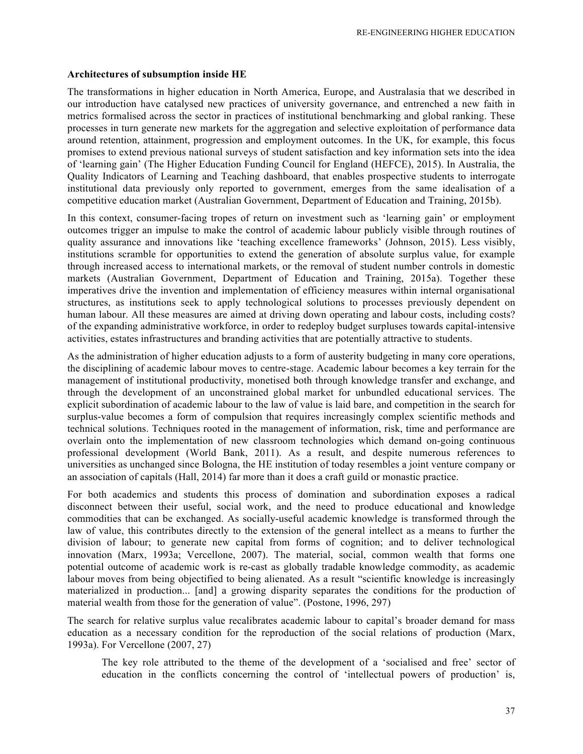#### **Architectures of subsumption inside HE**

The transformations in higher education in North America, Europe, and Australasia that we described in our introduction have catalysed new practices of university governance, and entrenched a new faith in metrics formalised across the sector in practices of institutional benchmarking and global ranking. These processes in turn generate new markets for the aggregation and selective exploitation of performance data around retention, attainment, progression and employment outcomes. In the UK, for example, this focus promises to extend previous national surveys of student satisfaction and key information sets into the idea of 'learning gain' (The Higher Education Funding Council for England (HEFCE), 2015). In Australia, the Quality Indicators of Learning and Teaching dashboard, that enables prospective students to interrogate institutional data previously only reported to government, emerges from the same idealisation of a competitive education market (Australian Government, Department of Education and Training, 2015b).

In this context, consumer-facing tropes of return on investment such as 'learning gain' or employment outcomes trigger an impulse to make the control of academic labour publicly visible through routines of quality assurance and innovations like 'teaching excellence frameworks' (Johnson, 2015). Less visibly, institutions scramble for opportunities to extend the generation of absolute surplus value, for example through increased access to international markets, or the removal of student number controls in domestic markets (Australian Government, Department of Education and Training, 2015a). Together these imperatives drive the invention and implementation of efficiency measures within internal organisational structures, as institutions seek to apply technological solutions to processes previously dependent on human labour. All these measures are aimed at driving down operating and labour costs, including costs? of the expanding administrative workforce, in order to redeploy budget surpluses towards capital-intensive activities, estates infrastructures and branding activities that are potentially attractive to students.

As the administration of higher education adjusts to a form of austerity budgeting in many core operations, the disciplining of academic labour moves to centre-stage. Academic labour becomes a key terrain for the management of institutional productivity, monetised both through knowledge transfer and exchange, and through the development of an unconstrained global market for unbundled educational services. The explicit subordination of academic labour to the law of value is laid bare, and competition in the search for surplus-value becomes a form of compulsion that requires increasingly complex scientific methods and technical solutions. Techniques rooted in the management of information, risk, time and performance are overlain onto the implementation of new classroom technologies which demand on-going continuous professional development (World Bank, 2011). As a result, and despite numerous references to universities as unchanged since Bologna, the HE institution of today resembles a joint venture company or an association of capitals (Hall, 2014) far more than it does a craft guild or monastic practice.

For both academics and students this process of domination and subordination exposes a radical disconnect between their useful, social work, and the need to produce educational and knowledge commodities that can be exchanged. As socially-useful academic knowledge is transformed through the law of value, this contributes directly to the extension of the general intellect as a means to further the division of labour; to generate new capital from forms of cognition; and to deliver technological innovation (Marx, 1993a; Vercellone, 2007). The material, social, common wealth that forms one potential outcome of academic work is re-cast as globally tradable knowledge commodity, as academic labour moves from being objectified to being alienated. As a result "scientific knowledge is increasingly materialized in production... [and] a growing disparity separates the conditions for the production of material wealth from those for the generation of value". (Postone, 1996, 297)

The search for relative surplus value recalibrates academic labour to capital's broader demand for mass education as a necessary condition for the reproduction of the social relations of production (Marx, 1993a). For Vercellone (2007, 27)

The key role attributed to the theme of the development of a 'socialised and free' sector of education in the conflicts concerning the control of 'intellectual powers of production' is,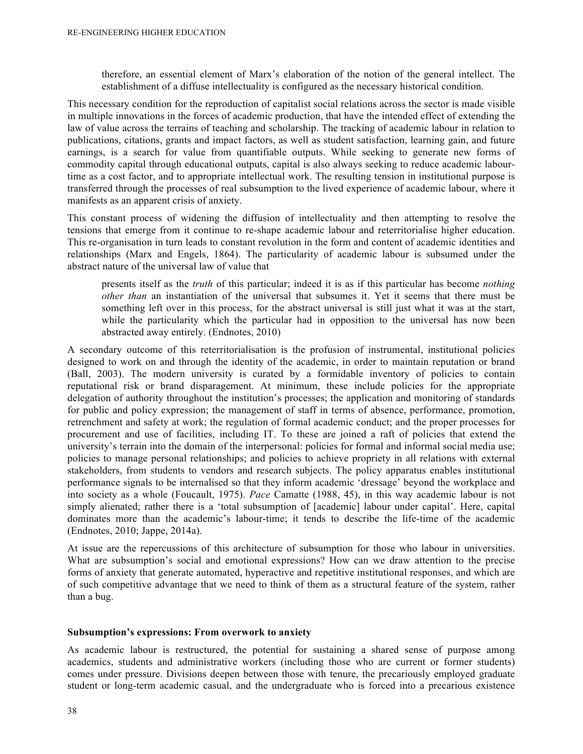therefore, an essential element of Marx's elaboration of the notion of the general intellect. The establishment of a diffuse intellectuality is configured as the necessary historical condition.

This necessary condition for the reproduction of capitalist social relations across the sector is made visible in multiple innovations in the forces of academic production, that have the intended effect of extending the law of value across the terrains of teaching and scholarship. The tracking of academic labour in relation to publications, citations, grants and impact factors, as well as student satisfaction, learning gain, and future earnings, is a search for value from quantifiable outputs. While seeking to generate new forms of commodity capital through educational outputs, capital is also always seeking to reduce academic labourtime as a cost factor, and to appropriate intellectual work. The resulting tension in institutional purpose is transferred through the processes of real subsumption to the lived experience of academic labour, where it manifests as an apparent crisis of anxiety.

This constant process of widening the diffusion of intellectuality and then attempting to resolve the tensions that emerge from it continue to re-shape academic labour and reterritorialise higher education. This re-organisation in turn leads to constant revolution in the form and content of academic identities and relationships (Marx and Engels, 1864). The particularity of academic labour is subsumed under the abstract nature of the universal law of value that

presents itself as the *truth* of this particular; indeed it is as if this particular has become *nothing other than* an instantiation of the universal that subsumes it. Yet it seems that there must be something left over in this process, for the abstract universal is still just what it was at the start, while the particularity which the particular had in opposition to the universal has now been abstracted away entirely. (Endnotes, 2010)

A secondary outcome of this reterritorialisation is the profusion of instrumental, institutional policies designed to work on and through the identity of the academic, in order to maintain reputation or brand (Ball, 2003). The modern university is curated by a formidable inventory of policies to contain reputational risk or brand disparagement. At minimum, these include policies for the appropriate delegation of authority throughout the institution's processes; the application and monitoring of standards for public and policy expression; the management of staff in terms of absence, performance, promotion, retrenchment and safety at work; the regulation of formal academic conduct; and the proper processes for procurement and use of facilities, including IT. To these are joined a raft of policies that extend the university's terrain into the domain of the interpersonal: policies for formal and informal social media use; policies to manage personal relationships; and policies to achieve propriety in all relations with external stakeholders, from students to vendors and research subjects. The policy apparatus enables institutional performance signals to be internalised so that they inform academic 'dressage' beyond the workplace and into society as a whole (Foucault, 1975). *Pace* Camatte (1988, 45), in this way academic labour is not simply alienated; rather there is a 'total subsumption of [academic] labour under capital'. Here, capital dominates more than the academic's labour-time; it tends to describe the life-time of the academic (Endnotes, 2010; Jappe, 2014a).

At issue are the repercussions of this architecture of subsumption for those who labour in universities. What are subsumption's social and emotional expressions? How can we draw attention to the precise forms of anxiety that generate automated, hyperactive and repetitive institutional responses, and which are of such competitive advantage that we need to think of them as a structural feature of the system, rather than a bug.

#### **Subsumption's expressions: From overwork to anxiety**

As academic labour is restructured, the potential for sustaining a shared sense of purpose among academics, students and administrative workers (including those who are current or former students) comes under pressure. Divisions deepen between those with tenure, the precariously employed graduate student or long-term academic casual, and the undergraduate who is forced into a precarious existence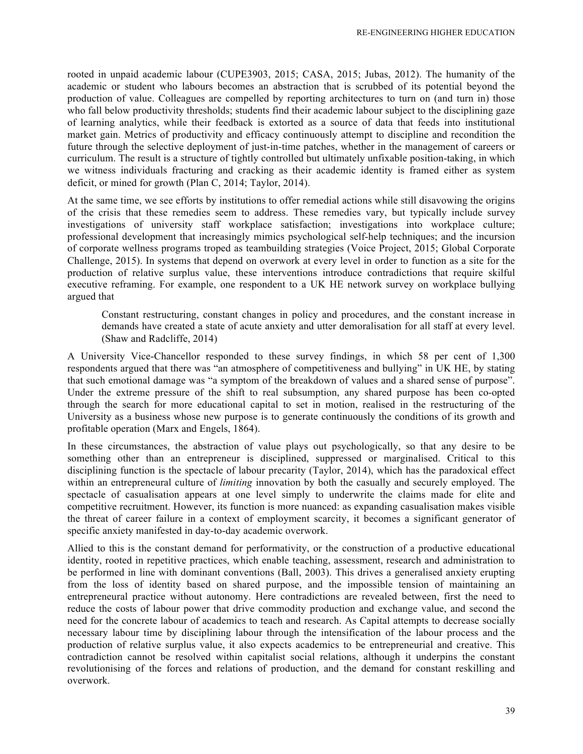rooted in unpaid academic labour (CUPE3903, 2015; CASA, 2015; Jubas, 2012). The humanity of the academic or student who labours becomes an abstraction that is scrubbed of its potential beyond the production of value. Colleagues are compelled by reporting architectures to turn on (and turn in) those who fall below productivity thresholds; students find their academic labour subject to the disciplining gaze of learning analytics, while their feedback is extorted as a source of data that feeds into institutional market gain. Metrics of productivity and efficacy continuously attempt to discipline and recondition the future through the selective deployment of just-in-time patches, whether in the management of careers or curriculum. The result is a structure of tightly controlled but ultimately unfixable position-taking, in which we witness individuals fracturing and cracking as their academic identity is framed either as system deficit, or mined for growth (Plan C, 2014; Taylor, 2014).

At the same time, we see efforts by institutions to offer remedial actions while still disavowing the origins of the crisis that these remedies seem to address. These remedies vary, but typically include survey investigations of university staff workplace satisfaction; investigations into workplace culture; professional development that increasingly mimics psychological self-help techniques; and the incursion of corporate wellness programs troped as teambuilding strategies (Voice Project, 2015; Global Corporate Challenge, 2015). In systems that depend on overwork at every level in order to function as a site for the production of relative surplus value, these interventions introduce contradictions that require skilful executive reframing. For example, one respondent to a UK HE network survey on workplace bullying argued that

Constant restructuring, constant changes in policy and procedures, and the constant increase in demands have created a state of acute anxiety and utter demoralisation for all staff at every level. (Shaw and Radcliffe, 2014)

A University Vice-Chancellor responded to these survey findings, in which 58 per cent of 1,300 respondents argued that there was "an atmosphere of competitiveness and bullying" in UK HE, by stating that such emotional damage was "a symptom of the breakdown of values and a shared sense of purpose". Under the extreme pressure of the shift to real subsumption, any shared purpose has been co-opted through the search for more educational capital to set in motion, realised in the restructuring of the University as a business whose new purpose is to generate continuously the conditions of its growth and profitable operation (Marx and Engels, 1864).

In these circumstances, the abstraction of value plays out psychologically, so that any desire to be something other than an entrepreneur is disciplined, suppressed or marginalised. Critical to this disciplining function is the spectacle of labour precarity (Taylor, 2014), which has the paradoxical effect within an entrepreneural culture of *limiting* innovation by both the casually and securely employed. The spectacle of casualisation appears at one level simply to underwrite the claims made for elite and competitive recruitment. However, its function is more nuanced: as expanding casualisation makes visible the threat of career failure in a context of employment scarcity, it becomes a significant generator of specific anxiety manifested in day-to-day academic overwork.

Allied to this is the constant demand for performativity, or the construction of a productive educational identity, rooted in repetitive practices, which enable teaching, assessment, research and administration to be performed in line with dominant conventions (Ball, 2003). This drives a generalised anxiety erupting from the loss of identity based on shared purpose, and the impossible tension of maintaining an entrepreneural practice without autonomy. Here contradictions are revealed between, first the need to reduce the costs of labour power that drive commodity production and exchange value, and second the need for the concrete labour of academics to teach and research. As Capital attempts to decrease socially necessary labour time by disciplining labour through the intensification of the labour process and the production of relative surplus value, it also expects academics to be entrepreneurial and creative. This contradiction cannot be resolved within capitalist social relations, although it underpins the constant revolutionising of the forces and relations of production, and the demand for constant reskilling and overwork.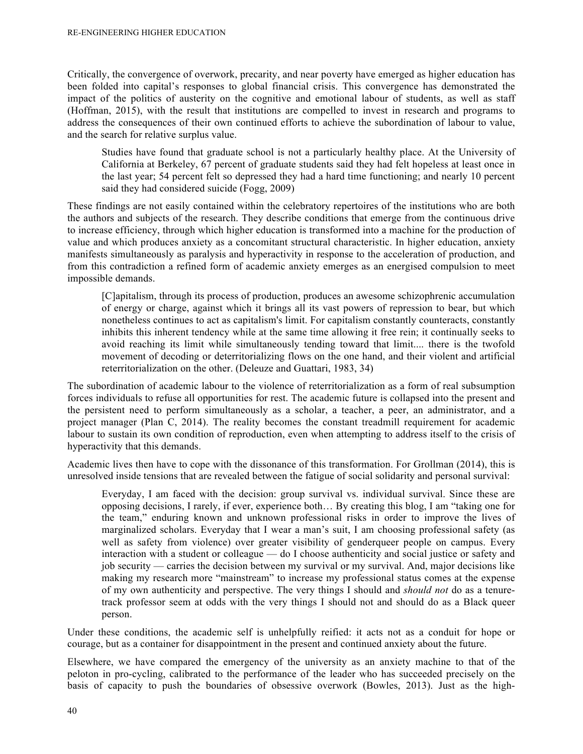Critically, the convergence of overwork, precarity, and near poverty have emerged as higher education has been folded into capital's responses to global financial crisis. This convergence has demonstrated the impact of the politics of austerity on the cognitive and emotional labour of students, as well as staff (Hoffman, 2015), with the result that institutions are compelled to invest in research and programs to address the consequences of their own continued efforts to achieve the subordination of labour to value, and the search for relative surplus value.

Studies have found that graduate school is not a particularly healthy place. At the University of California at Berkeley, 67 percent of graduate students said they had felt hopeless at least once in the last year; 54 percent felt so depressed they had a hard time functioning; and nearly 10 percent said they had considered suicide (Fogg, 2009)

These findings are not easily contained within the celebratory repertoires of the institutions who are both the authors and subjects of the research. They describe conditions that emerge from the continuous drive to increase efficiency, through which higher education is transformed into a machine for the production of value and which produces anxiety as a concomitant structural characteristic. In higher education, anxiety manifests simultaneously as paralysis and hyperactivity in response to the acceleration of production, and from this contradiction a refined form of academic anxiety emerges as an energised compulsion to meet impossible demands.

[C]apitalism, through its process of production, produces an awesome schizophrenic accumulation of energy or charge, against which it brings all its vast powers of repression to bear, but which nonetheless continues to act as capitalism's limit. For capitalism constantly counteracts, constantly inhibits this inherent tendency while at the same time allowing it free rein; it continually seeks to avoid reaching its limit while simultaneously tending toward that limit.... there is the twofold movement of decoding or deterritorializing flows on the one hand, and their violent and artificial reterritorialization on the other. (Deleuze and Guattari, 1983, 34)

The subordination of academic labour to the violence of reterritorialization as a form of real subsumption forces individuals to refuse all opportunities for rest. The academic future is collapsed into the present and the persistent need to perform simultaneously as a scholar, a teacher, a peer, an administrator, and a project manager (Plan C, 2014). The reality becomes the constant treadmill requirement for academic labour to sustain its own condition of reproduction, even when attempting to address itself to the crisis of hyperactivity that this demands.

Academic lives then have to cope with the dissonance of this transformation. For Grollman (2014), this is unresolved inside tensions that are revealed between the fatigue of social solidarity and personal survival:

Everyday, I am faced with the decision: group survival vs. individual survival. Since these are opposing decisions, I rarely, if ever, experience both… By creating this blog, I am "taking one for the team," enduring known and unknown professional risks in order to improve the lives of marginalized scholars. Everyday that I wear a man's suit, I am choosing professional safety (as well as safety from violence) over greater visibility of genderqueer people on campus. Every interaction with a student or colleague — do I choose authenticity and social justice or safety and job security — carries the decision between my survival or my survival. And, major decisions like making my research more "mainstream" to increase my professional status comes at the expense of my own authenticity and perspective. The very things I should and *should not* do as a tenuretrack professor seem at odds with the very things I should not and should do as a Black queer person.

Under these conditions, the academic self is unhelpfully reified: it acts not as a conduit for hope or courage, but as a container for disappointment in the present and continued anxiety about the future.

Elsewhere, we have compared the emergency of the university as an anxiety machine to that of the peloton in pro-cycling, calibrated to the performance of the leader who has succeeded precisely on the basis of capacity to push the boundaries of obsessive overwork (Bowles, 2013). Just as the high-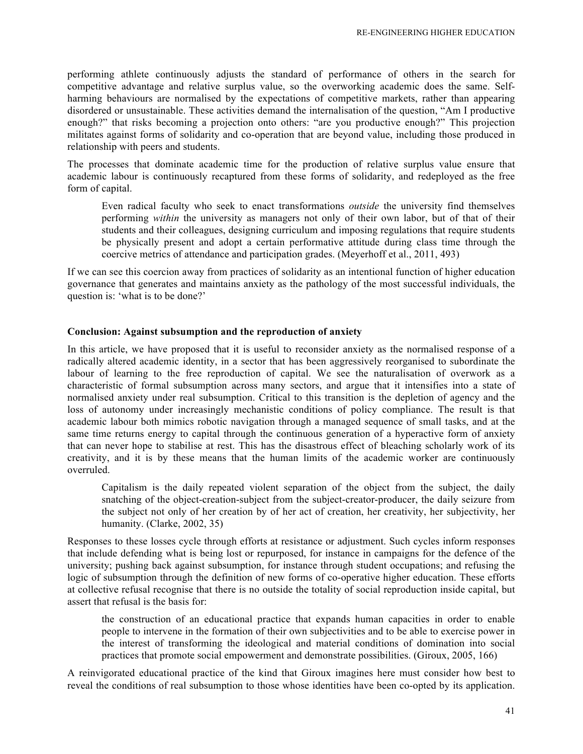performing athlete continuously adjusts the standard of performance of others in the search for competitive advantage and relative surplus value, so the overworking academic does the same. Selfharming behaviours are normalised by the expectations of competitive markets, rather than appearing disordered or unsustainable. These activities demand the internalisation of the question, "Am I productive enough?" that risks becoming a projection onto others: "are you productive enough?" This projection militates against forms of solidarity and co-operation that are beyond value, including those produced in relationship with peers and students.

The processes that dominate academic time for the production of relative surplus value ensure that academic labour is continuously recaptured from these forms of solidarity, and redeployed as the free form of capital.

Even radical faculty who seek to enact transformations *outside* the university find themselves performing *within* the university as managers not only of their own labor, but of that of their students and their colleagues, designing curriculum and imposing regulations that require students be physically present and adopt a certain performative attitude during class time through the coercive metrics of attendance and participation grades. (Meyerhoff et al., 2011, 493)

If we can see this coercion away from practices of solidarity as an intentional function of higher education governance that generates and maintains anxiety as the pathology of the most successful individuals, the question is: 'what is to be done?'

#### **Conclusion: Against subsumption and the reproduction of anxiety**

In this article, we have proposed that it is useful to reconsider anxiety as the normalised response of a radically altered academic identity, in a sector that has been aggressively reorganised to subordinate the labour of learning to the free reproduction of capital. We see the naturalisation of overwork as a characteristic of formal subsumption across many sectors, and argue that it intensifies into a state of normalised anxiety under real subsumption. Critical to this transition is the depletion of agency and the loss of autonomy under increasingly mechanistic conditions of policy compliance. The result is that academic labour both mimics robotic navigation through a managed sequence of small tasks, and at the same time returns energy to capital through the continuous generation of a hyperactive form of anxiety that can never hope to stabilise at rest. This has the disastrous effect of bleaching scholarly work of its creativity, and it is by these means that the human limits of the academic worker are continuously overruled.

Capitalism is the daily repeated violent separation of the object from the subject, the daily snatching of the object-creation-subject from the subject-creator-producer, the daily seizure from the subject not only of her creation by of her act of creation, her creativity, her subjectivity, her humanity. (Clarke, 2002, 35)

Responses to these losses cycle through efforts at resistance or adjustment. Such cycles inform responses that include defending what is being lost or repurposed, for instance in campaigns for the defence of the university; pushing back against subsumption, for instance through student occupations; and refusing the logic of subsumption through the definition of new forms of co-operative higher education. These efforts at collective refusal recognise that there is no outside the totality of social reproduction inside capital, but assert that refusal is the basis for:

the construction of an educational practice that expands human capacities in order to enable people to intervene in the formation of their own subjectivities and to be able to exercise power in the interest of transforming the ideological and material conditions of domination into social practices that promote social empowerment and demonstrate possibilities. (Giroux, 2005, 166)

A reinvigorated educational practice of the kind that Giroux imagines here must consider how best to reveal the conditions of real subsumption to those whose identities have been co-opted by its application.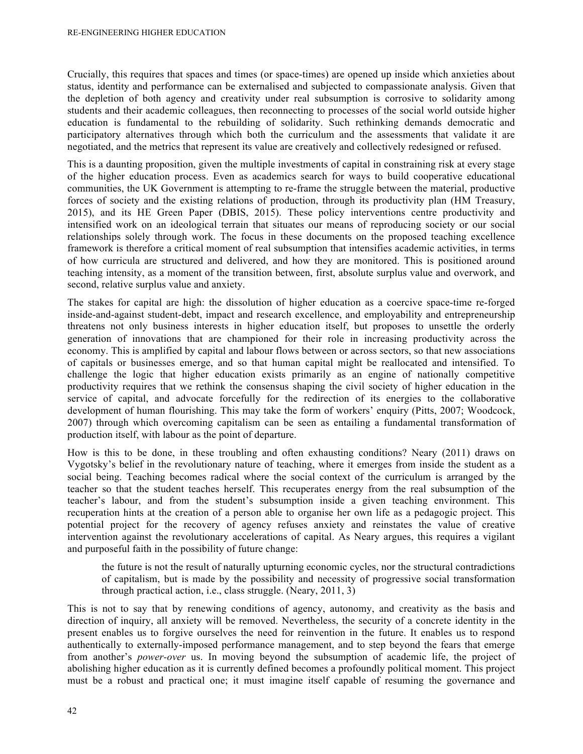Crucially, this requires that spaces and times (or space-times) are opened up inside which anxieties about status, identity and performance can be externalised and subjected to compassionate analysis. Given that the depletion of both agency and creativity under real subsumption is corrosive to solidarity among students and their academic colleagues, then reconnecting to processes of the social world outside higher education is fundamental to the rebuilding of solidarity. Such rethinking demands democratic and participatory alternatives through which both the curriculum and the assessments that validate it are negotiated, and the metrics that represent its value are creatively and collectively redesigned or refused.

This is a daunting proposition, given the multiple investments of capital in constraining risk at every stage of the higher education process. Even as academics search for ways to build cooperative educational communities, the UK Government is attempting to re-frame the struggle between the material, productive forces of society and the existing relations of production, through its productivity plan (HM Treasury, 2015), and its HE Green Paper (DBIS, 2015). These policy interventions centre productivity and intensified work on an ideological terrain that situates our means of reproducing society or our social relationships solely through work. The focus in these documents on the proposed teaching excellence framework is therefore a critical moment of real subsumption that intensifies academic activities, in terms of how curricula are structured and delivered, and how they are monitored. This is positioned around teaching intensity, as a moment of the transition between, first, absolute surplus value and overwork, and second, relative surplus value and anxiety.

The stakes for capital are high: the dissolution of higher education as a coercive space-time re-forged inside-and-against student-debt, impact and research excellence, and employability and entrepreneurship threatens not only business interests in higher education itself, but proposes to unsettle the orderly generation of innovations that are championed for their role in increasing productivity across the economy. This is amplified by capital and labour flows between or across sectors, so that new associations of capitals or businesses emerge, and so that human capital might be reallocated and intensified. To challenge the logic that higher education exists primarily as an engine of nationally competitive productivity requires that we rethink the consensus shaping the civil society of higher education in the service of capital, and advocate forcefully for the redirection of its energies to the collaborative development of human flourishing. This may take the form of workers' enquiry (Pitts, 2007; Woodcock, 2007) through which overcoming capitalism can be seen as entailing a fundamental transformation of production itself, with labour as the point of departure.

How is this to be done, in these troubling and often exhausting conditions? Neary (2011) draws on Vygotsky's belief in the revolutionary nature of teaching, where it emerges from inside the student as a social being. Teaching becomes radical where the social context of the curriculum is arranged by the teacher so that the student teaches herself. This recuperates energy from the real subsumption of the teacher's labour, and from the student's subsumption inside a given teaching environment. This recuperation hints at the creation of a person able to organise her own life as a pedagogic project. This potential project for the recovery of agency refuses anxiety and reinstates the value of creative intervention against the revolutionary accelerations of capital. As Neary argues, this requires a vigilant and purposeful faith in the possibility of future change:

the future is not the result of naturally upturning economic cycles, nor the structural contradictions of capitalism, but is made by the possibility and necessity of progressive social transformation through practical action, i.e., class struggle. (Neary, 2011, 3)

This is not to say that by renewing conditions of agency, autonomy, and creativity as the basis and direction of inquiry, all anxiety will be removed. Nevertheless, the security of a concrete identity in the present enables us to forgive ourselves the need for reinvention in the future. It enables us to respond authentically to externally-imposed performance management, and to step beyond the fears that emerge from another's *power-over* us. In moving beyond the subsumption of academic life, the project of abolishing higher education as it is currently defined becomes a profoundly political moment. This project must be a robust and practical one; it must imagine itself capable of resuming the governance and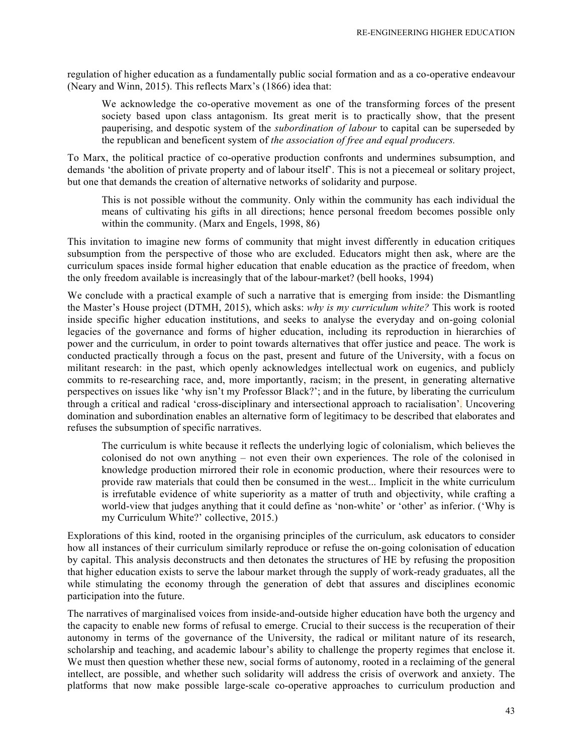regulation of higher education as a fundamentally public social formation and as a co-operative endeavour (Neary and Winn, 2015). This reflects Marx's (1866) idea that:

We acknowledge the co-operative movement as one of the transforming forces of the present society based upon class antagonism. Its great merit is to practically show, that the present pauperising, and despotic system of the *subordination of labour* to capital can be superseded by the republican and beneficent system of *the association of free and equal producers.*

To Marx, the political practice of co-operative production confronts and undermines subsumption, and demands 'the abolition of private property and of labour itself'. This is not a piecemeal or solitary project, but one that demands the creation of alternative networks of solidarity and purpose.

This is not possible without the community. Only within the community has each individual the means of cultivating his gifts in all directions; hence personal freedom becomes possible only within the community. (Marx and Engels, 1998, 86)

This invitation to imagine new forms of community that might invest differently in education critiques subsumption from the perspective of those who are excluded. Educators might then ask, where are the curriculum spaces inside formal higher education that enable education as the practice of freedom, when the only freedom available is increasingly that of the labour-market? (bell hooks, 1994)

We conclude with a practical example of such a narrative that is emerging from inside: the Dismantling the Master's House project (DTMH, 2015), which asks: *why is my curriculum white?* This work is rooted inside specific higher education institutions, and seeks to analyse the everyday and on-going colonial legacies of the governance and forms of higher education, including its reproduction in hierarchies of power and the curriculum, in order to point towards alternatives that offer justice and peace. The work is conducted practically through a focus on the past, present and future of the University, with a focus on militant research: in the past, which openly acknowledges intellectual work on eugenics, and publicly commits to re-researching race, and, more importantly, racism; in the present, in generating alternative perspectives on issues like 'why isn't my Professor Black?'; and in the future, by liberating the curriculum through a critical and radical 'cross-disciplinary and intersectional approach to racialisation'. Uncovering domination and subordination enables an alternative form of legitimacy to be described that elaborates and refuses the subsumption of specific narratives.

The curriculum is white because it reflects the underlying logic of colonialism, which believes the colonised do not own anything – not even their own experiences. The role of the colonised in knowledge production mirrored their role in economic production, where their resources were to provide raw materials that could then be consumed in the west... Implicit in the white curriculum is irrefutable evidence of white superiority as a matter of truth and objectivity, while crafting a world-view that judges anything that it could define as 'non-white' or 'other' as inferior. ('Why is my Curriculum White?' collective, 2015.)

Explorations of this kind, rooted in the organising principles of the curriculum, ask educators to consider how all instances of their curriculum similarly reproduce or refuse the on-going colonisation of education by capital. This analysis deconstructs and then detonates the structures of HE by refusing the proposition that higher education exists to serve the labour market through the supply of work-ready graduates, all the while stimulating the economy through the generation of debt that assures and disciplines economic participation into the future.

The narratives of marginalised voices from inside-and-outside higher education have both the urgency and the capacity to enable new forms of refusal to emerge. Crucial to their success is the recuperation of their autonomy in terms of the governance of the University, the radical or militant nature of its research, scholarship and teaching, and academic labour's ability to challenge the property regimes that enclose it. We must then question whether these new, social forms of autonomy, rooted in a reclaiming of the general intellect, are possible, and whether such solidarity will address the crisis of overwork and anxiety. The platforms that now make possible large-scale co-operative approaches to curriculum production and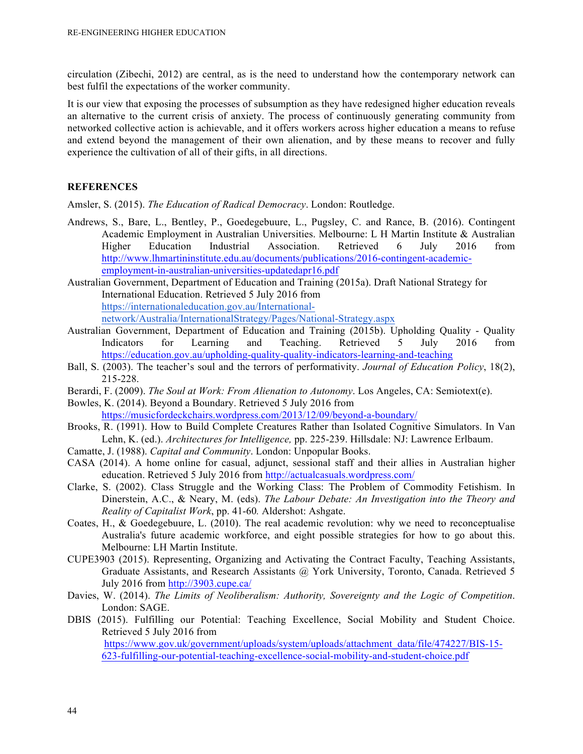circulation (Zibechi, 2012) are central, as is the need to understand how the contemporary network can best fulfil the expectations of the worker community.

It is our view that exposing the processes of subsumption as they have redesigned higher education reveals an alternative to the current crisis of anxiety. The process of continuously generating community from networked collective action is achievable, and it offers workers across higher education a means to refuse and extend beyond the management of their own alienation, and by these means to recover and fully experience the cultivation of all of their gifts, in all directions.

#### **REFERENCES**

Amsler, S. (2015). *The Education of Radical Democracy*. London: Routledge.

Andrews, S., Bare, L., Bentley, P., Goedegebuure, L., Pugsley, C. and Rance, B. (2016). Contingent Academic Employment in Australian Universities. Melbourne: L H Martin Institute & Australian Higher Education Industrial Association. Retrieved 6 July 2016 from http://www.lhmartininstitute.edu.au/documents/publications/2016-contingent-academicemployment-in-australian-universities-updatedapr16.pdf

Australian Government, Department of Education and Training (2015a). Draft National Strategy for International Education. Retrieved 5 July 2016 from https://internationaleducation.gov.au/Internationalnetwork/Australia/InternationalStrategy/Pages/National-Strategy.aspx

- Australian Government, Department of Education and Training (2015b). Upholding Quality Quality Indicators for Learning and Teaching. Retrieved 5 July 2016 from https://education.gov.au/upholding-quality-quality-indicators-learning-and-teaching
- Ball, S. (2003). The teacher's soul and the terrors of performativity. *Journal of Education Policy*, 18(2), 215-228.
- Berardi, F. (2009). *The Soul at Work: From Alienation to Autonomy*. Los Angeles, CA: Semiotext(e).
- Bowles, K. (2014). Beyond a Boundary. Retrieved 5 July 2016 from https://musicfordeckchairs.wordpress.com/2013/12/09/beyond-a-boundary/
- Brooks, R. (1991). How to Build Complete Creatures Rather than Isolated Cognitive Simulators. In Van Lehn, K. (ed.). *Architectures for Intelligence,* pp. 225-239. Hillsdale: NJ: Lawrence Erlbaum.
- Camatte, J. (1988). *Capital and Community*. London: Unpopular Books.
- CASA (2014). A home online for casual, adjunct, sessional staff and their allies in Australian higher education. Retrieved 5 July 2016 from http://actualcasuals.wordpress.com/
- Clarke, S. (2002). Class Struggle and the Working Class: The Problem of Commodity Fetishism. In Dinerstein, A.C., & Neary, M. (eds). *The Labour Debate: An Investigation into the Theory and Reality of Capitalist Work*, pp. 41-60*.* Aldershot: Ashgate.
- Coates, H., & Goedegebuure, L. (2010). The real academic revolution: why we need to reconceptualise Australia's future academic workforce, and eight possible strategies for how to go about this. Melbourne: LH Martin Institute.
- CUPE3903 (2015). Representing, Organizing and Activating the Contract Faculty, Teaching Assistants, Graduate Assistants, and Research Assistants @ York University, Toronto, Canada. Retrieved 5 July 2016 from http://3903.cupe.ca/
- Davies, W. (2014). *The Limits of Neoliberalism: Authority, Sovereignty and the Logic of Competition*. London: SAGE.
- DBIS (2015). Fulfilling our Potential: Teaching Excellence, Social Mobility and Student Choice. Retrieved 5 July 2016 from

https://www.gov.uk/government/uploads/system/uploads/attachment\_data/file/474227/BIS-15- 623-fulfilling-our-potential-teaching-excellence-social-mobility-and-student-choice.pdf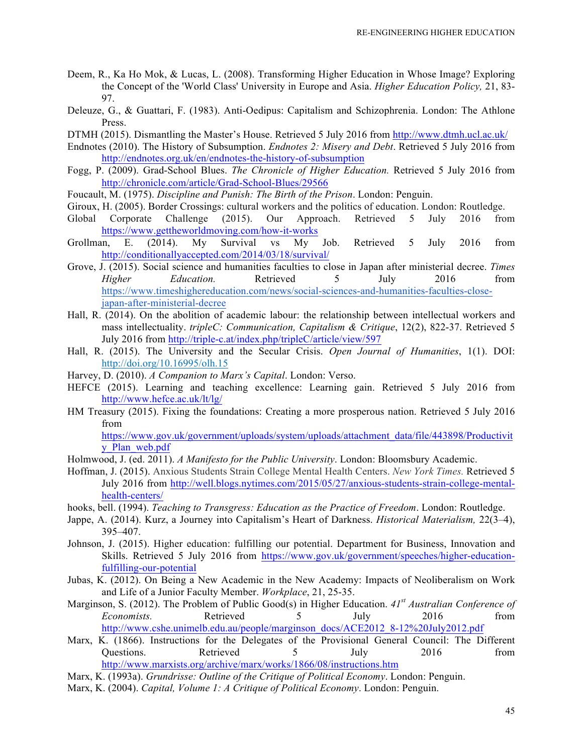- Deem, R., Ka Ho Mok, & Lucas, L. (2008). Transforming Higher Education in Whose Image? Exploring the Concept of the 'World Class' University in Europe and Asia. *Higher Education Policy,* 21, 83- 97.
- Deleuze, G., & Guattari, F. (1983). Anti-Oedipus: Capitalism and Schizophrenia. London: The Athlone Press.
- DTMH (2015). Dismantling the Master's House. Retrieved 5 July 2016 from http://www.dtmh.ucl.ac.uk/
- Endnotes (2010). The History of Subsumption. *Endnotes 2: Misery and Debt*. Retrieved 5 July 2016 from http://endnotes.org.uk/en/endnotes-the-history-of-subsumption
- Fogg, P. (2009). Grad-School Blues. *The Chronicle of Higher Education.* Retrieved 5 July 2016 from http://chronicle.com/article/Grad-School-Blues/29566
- Foucault, M. (1975). *Discipline and Punish: The Birth of the Prison*. London: Penguin.
- Giroux, H. (2005). Border Crossings: cultural workers and the politics of education. London: Routledge.
- Global Corporate Challenge (2015). Our Approach. Retrieved 5 July 2016 from https://www.gettheworldmoving.com/how-it-works
- Grollman, E. (2014). My Survival vs My Job. Retrieved 5 July 2016 from http://conditionallyaccepted.com/2014/03/18/survival/
- Grove, J. (2015). Social science and humanities faculties to close in Japan after ministerial decree. *Times Higher Education.* Retrieved 5 July 2016 from https://www.timeshighereducation.com/news/social-sciences-and-humanities-faculties-closejapan-after-ministerial-decree
- Hall, R. (2014). On the abolition of academic labour: the relationship between intellectual workers and mass intellectuality. *tripleC: Communication, Capitalism & Critique*, 12(2), 822-37. Retrieved 5 July 2016 from http://triple-c.at/index.php/tripleC/article/view/597
- Hall, R. (2015). The University and the Secular Crisis. *Open Journal of Humanities*, 1(1). DOI: http://doi.org/10.16995/olh.15
- Harvey, D. (2010). *A Companion to Marx's Capital*. London: Verso.
- HEFCE (2015). Learning and teaching excellence: Learning gain. Retrieved 5 July 2016 from http://www.hefce.ac.uk/lt/lg/
- HM Treasury (2015). Fixing the foundations: Creating a more prosperous nation. Retrieved 5 July 2016 from

https://www.gov.uk/government/uploads/system/uploads/attachment\_data/file/443898/Productivit y\_Plan\_web.pdf

- Holmwood, J. (ed. 2011). *A Manifesto for the Public University*. London: Bloomsbury Academic.
- Hoffman, J. (2015). Anxious Students Strain College Mental Health Centers. *New York Times.* Retrieved 5 July 2016 from http://well.blogs.nytimes.com/2015/05/27/anxious-students-strain-college-mentalhealth-centers/
- hooks, bell. (1994). *Teaching to Transgress: Education as the Practice of Freedom*. London: Routledge.
- Jappe, A. (2014). Kurz, a Journey into Capitalism's Heart of Darkness. *Historical Materialism,* 22(3–4), 395–407.
- Johnson, J. (2015). Higher education: fulfilling our potential. Department for Business, Innovation and Skills. Retrieved 5 July 2016 from https://www.gov.uk/government/speeches/higher-educationfulfilling-our-potential
- Jubas, K. (2012). On Being a New Academic in the New Academy: Impacts of Neoliberalism on Work and Life of a Junior Faculty Member. *Workplace*, 21, 25-35.
- Marginson, S. (2012). The Problem of Public Good(s) in Higher Education. *41st Australian Conference of Economists.* Retrieved 5 July 2016 from http://www.cshe.unimelb.edu.au/people/marginson\_docs/ACE2012\_8-12%20July2012.pdf
- Marx, K. (1866). Instructions for the Delegates of the Provisional General Council: The Different Questions. Retrieved 5 July 2016 from http://www.marxists.org/archive/marx/works/1866/08/instructions.htm
- Marx, K. (1993a). *Grundrisse: Outline of the Critique of Political Economy*. London: Penguin.
- Marx, K. (2004). *Capital, Volume 1: A Critique of Political Economy*. London: Penguin.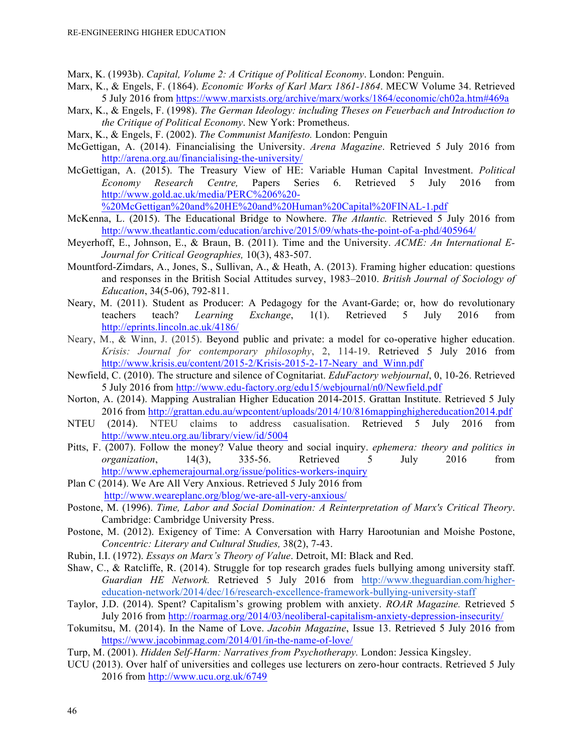Marx, K. (1993b). *Capital, Volume 2: A Critique of Political Economy*. London: Penguin.

- Marx, K., & Engels, F. (1864). *Economic Works of Karl Marx 1861-1864*. MECW Volume 34. Retrieved 5 July 2016 from https://www.marxists.org/archive/marx/works/1864/economic/ch02a.htm#469a
- Marx, K., & Engels, F. (1998). *The German Ideology: including Theses on Feuerbach and Introduction to the Critique of Political Economy*. New York: Prometheus.
- Marx, K., & Engels, F. (2002). *The Communist Manifesto.* London: Penguin
- McGettigan, A. (2014). Financialising the University. *Arena Magazine*. Retrieved 5 July 2016 from http://arena.org.au/financialising-the-university/
- McGettigan, A. (2015). The Treasury View of HE: Variable Human Capital Investment. *Political Economy Research Centre,* Papers Series 6. Retrieved 5 July 2016 from http://www.gold.ac.uk/media/PERC%206%20-

%20McGettigan%20and%20HE%20and%20Human%20Capital%20FINAL-1.pdf

- McKenna, L. (2015). The Educational Bridge to Nowhere. *The Atlantic.* Retrieved 5 July 2016 from http://www.theatlantic.com/education/archive/2015/09/whats-the-point-of-a-phd/405964/
- Meyerhoff, E., Johnson, E., & Braun, B. (2011). Time and the University. *ACME: An International E-Journal for Critical Geographies,* 10(3), 483-507.
- Mountford-Zimdars, A., Jones, S., Sullivan, A., & Heath, A. (2013). Framing higher education: questions and responses in the British Social Attitudes survey, 1983–2010. *British Journal of Sociology of Education*, 34(5-06), 792-811.
- Neary, M. (2011). Student as Producer: A Pedagogy for the Avant-Garde; or, how do revolutionary teachers teach? *Learning Exchange*, 1(1). Retrieved 5 July 2016 from http://eprints.lincoln.ac.uk/4186/
- Neary, M., & Winn, J. (2015). Beyond public and private: a model for co-operative higher education. *Krisis: Journal for contemporary philosophy*, 2, 114-19. Retrieved 5 July 2016 from http://www.krisis.eu/content/2015-2/Krisis-2015-2-17-Neary\_and\_Winn.pdf
- Newfield, C. (2010). The structure and silence of Cognitariat. *EduFactory webjournal*, 0, 10-26. Retrieved 5 July 2016 from http://www.edu-factory.org/edu15/webjournal/n0/Newfield.pdf
- Norton, A. (2014). Mapping Australian Higher Education 2014-2015. Grattan Institute. Retrieved 5 July 2016 from http://grattan.edu.au/wpcontent/uploads/2014/10/816mappinghighereducation2014.pdf
- NTEU (2014). NTEU claims to address casualisation. Retrieved 5 July 2016 from http://www.nteu.org.au/library/view/id/5004
- Pitts, F. (2007). Follow the money? Value theory and social inquiry. *ephemera: theory and politics in organization*, 14(3), 335-56. Retrieved 5 July 2016 from http://www.ephemerajournal.org/issue/politics-workers-inquiry
- Plan C (2014). We Are All Very Anxious. Retrieved 5 July 2016 from http://www.weareplanc.org/blog/we-are-all-very-anxious/
- Postone, M. (1996). *Time, Labor and Social Domination: A Reinterpretation of Marx's Critical Theory*. Cambridge: Cambridge University Press.
- Postone, M. (2012). Exigency of Time: A Conversation with Harry Harootunian and Moishe Postone, *Concentric: Literary and Cultural Studies,* 38(2), 7-43.
- Rubin, I.I. (1972). *Essays on Marx's Theory of Value*. Detroit, MI: Black and Red.
- Shaw, C., & Ratcliffe, R. (2014). Struggle for top research grades fuels bullying among university staff. *Guardian HE Network.* Retrieved 5 July 2016 from http://www.theguardian.com/highereducation-network/2014/dec/16/research-excellence-framework-bullying-university-staff
- Taylor, J.D. (2014). Spent? Capitalism's growing problem with anxiety. *ROAR Magazine.* Retrieved 5 July 2016 from http://roarmag.org/2014/03/neoliberal-capitalism-anxiety-depression-insecurity/
- Tokumitsu, M. (2014). In the Name of Love. *Jacobin Magazine*, Issue 13. Retrieved 5 July 2016 from https://www.jacobinmag.com/2014/01/in-the-name-of-love/
- Turp, M. (2001). *Hidden Self-Harm: Narratives from Psychotherapy.* London: Jessica Kingsley.
- UCU (2013). Over half of universities and colleges use lecturers on zero-hour contracts. Retrieved 5 July 2016 from http://www.ucu.org.uk/6749